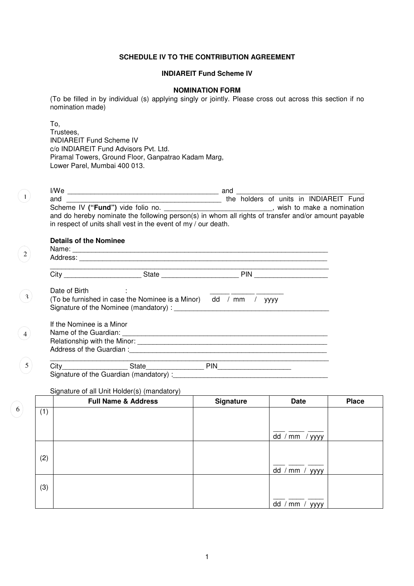## **SCHEDULE IV TO THE CONTRIBUTION AGREEMENT**

# **INDIAREIT Fund Scheme IV**

#### **NOMINATION FORM**

(To be filled in by individual (s) applying singly or jointly. Please cross out across this section if no nomination made)

To, Trustees, INDIAREIT Fund Scheme IV c/o INDIAREIT Fund Advisors Pvt. Ltd. Piramal Towers, Ground Floor, Ganpatrao Kadam Marg, Lower Parel, Mumbai 400 013.

| I/We                                                                                                | and |  |  |                                        |  |
|-----------------------------------------------------------------------------------------------------|-----|--|--|----------------------------------------|--|
| and                                                                                                 |     |  |  | the holders of units in INDIAREIT Fund |  |
| Scheme IV ("Fund") vide folio no.                                                                   |     |  |  | wish to make a nomination              |  |
| and do hereby nominate the following person(s) in whom all rights of transfer and/or amount payable |     |  |  |                                        |  |
| in respect of units shall vest in the event of my / our death.                                      |     |  |  |                                        |  |
|                                                                                                     |     |  |  |                                        |  |

# **Details of the Nominee**

 $\binom{1}{1}$ 

2

 $\left( 3 \right)$ 

4

 $\left( 5 \right)$ 

6

| Name:<br>Address: |              |     |  |
|-------------------|--------------|-----|--|
|                   | <b>State</b> | PIN |  |
| ∩ate of Rirth     |              |     |  |

| יייים יש טיב                                                      |  |
|-------------------------------------------------------------------|--|
| (To be furnished in case the Nominee is a Minor) dd / mm / $yyyy$ |  |
| Signature of the Nominee (mandatory) :                            |  |

| If the Nominee is a Minor    |  |
|------------------------------|--|
| Name of the Guardian:        |  |
| Relationship with the Minor: |  |
| Address of the Guardian:     |  |
|                              |  |

 $\overline{\text{City}}_{\text{max}}$ City\_\_\_\_\_\_\_\_\_\_\_\_\_\_\_\_\_ State\_\_\_\_\_\_\_\_\_\_\_\_\_\_\_ PIN\_\_\_\_\_\_\_\_\_\_\_\_\_\_\_\_\_\_\_ Signature of the Guardian (mandatory) :

#### Signature of all Unit Holder(s) (mandatory)

|     | <b>Full Name &amp; Address</b> | Signature | <b>Date</b>             | <b>Place</b> |
|-----|--------------------------------|-----------|-------------------------|--------------|
| (1) |                                |           |                         |              |
|     |                                |           |                         |              |
|     |                                |           | dd /<br>' mm<br>/ уууу  |              |
|     |                                |           |                         |              |
| (2) |                                |           |                         |              |
|     |                                |           | dd /<br>$'mm$ /<br>уууу |              |
|     |                                |           |                         |              |
| (3) |                                |           |                         |              |
|     |                                |           | dd<br>$'mm$ /<br>уууу   |              |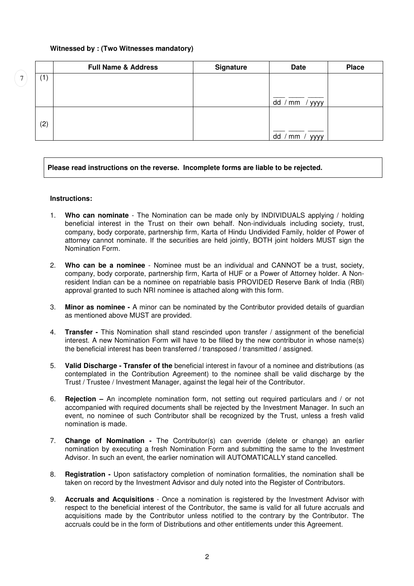## **Witnessed by : (Two Witnesses mandatory)**

|     | <b>Full Name &amp; Address</b> | <b>Signature</b> | <b>Date</b>             | <b>Place</b> |
|-----|--------------------------------|------------------|-------------------------|--------------|
| (1) |                                |                  |                         |              |
|     |                                |                  |                         |              |
|     |                                |                  | dd<br>$/$ yyyy<br>mm    |              |
|     |                                |                  |                         |              |
| (2) |                                |                  |                         |              |
|     |                                |                  | dd<br>mm<br><b>VVVV</b> |              |

## **Please read instructions on the reverse. Incomplete forms are liable to be rejected.**

### **Instructions:**

7

- 1. **Who can nominate** The Nomination can be made only by INDIVIDUALS applying / holding beneficial interest in the Trust on their own behalf. Non-individuals including society, trust, company, body corporate, partnership firm, Karta of Hindu Undivided Family, holder of Power of attorney cannot nominate. If the securities are held jointly, BOTH joint holders MUST sign the Nomination Form.
- 2. **Who can be a nominee** Nominee must be an individual and CANNOT be a trust, society, company, body corporate, partnership firm, Karta of HUF or a Power of Attorney holder. A Nonresident Indian can be a nominee on repatriable basis PROVIDED Reserve Bank of India (RBI) approval granted to such NRI nominee is attached along with this form.
- 3. **Minor as nominee** A minor can be nominated by the Contributor provided details of guardian as mentioned above MUST are provided.
- 4. **Transfer** This Nomination shall stand rescinded upon transfer / assignment of the beneficial interest. A new Nomination Form will have to be filled by the new contributor in whose name(s) the beneficial interest has been transferred / transposed / transmitted / assigned.
- 5. **Valid Discharge Transfer of the** beneficial interest in favour of a nominee and distributions (as contemplated in the Contribution Agreement) to the nominee shall be valid discharge by the Trust / Trustee / Investment Manager, against the legal heir of the Contributor.
- 6. **Rejection** An incomplete nomination form, not setting out required particulars and / or not accompanied with required documents shall be rejected by the Investment Manager. In such an event, no nominee of such Contributor shall be recognized by the Trust, unless a fresh valid nomination is made.
- 7. **Change of Nomination** The Contributor(s) can override (delete or change) an earlier nomination by executing a fresh Nomination Form and submitting the same to the Investment Advisor. In such an event, the earlier nomination will AUTOMATICALLY stand cancelled.
- 8. **Registration** Upon satisfactory completion of nomination formalities, the nomination shall be taken on record by the Investment Advisor and duly noted into the Register of Contributors.
- 9. **Accruals and Acquisitions** Once a nomination is registered by the Investment Advisor with respect to the beneficial interest of the Contributor, the same is valid for all future accruals and acquisitions made by the Contributor unless notified to the contrary by the Contributor. The accruals could be in the form of Distributions and other entitlements under this Agreement.

2